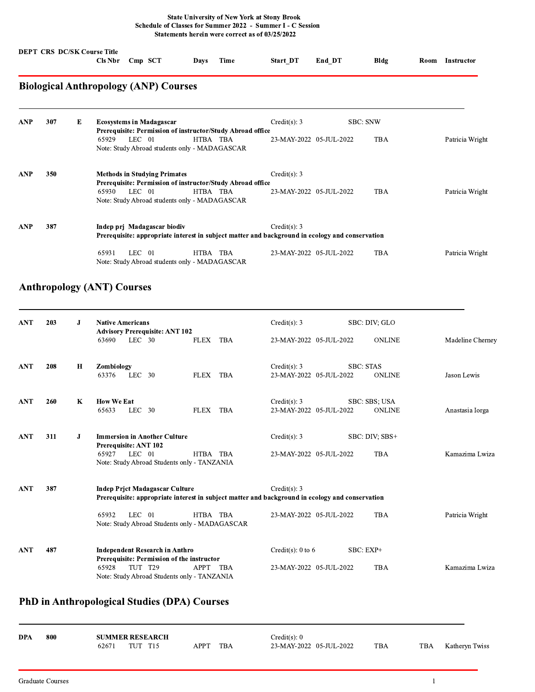## **State University of New York at Stony Brook** Schedule of Classes for Summer 2022 - Summer I - C Session Statements herein were correct as of 03/25/2022

|            |     |                                                                                                                                | <b>DEPT CRS DC/SK Course Title</b><br><b>Cls Nbr</b> | Cmp SCT                                                                                           | Days     | <b>Time</b> | Start DT                | End DT | Bldg            | Room | <b>Instructor</b> |
|------------|-----|--------------------------------------------------------------------------------------------------------------------------------|------------------------------------------------------|---------------------------------------------------------------------------------------------------|----------|-------------|-------------------------|--------|-----------------|------|-------------------|
|            |     |                                                                                                                                |                                                      | <b>Biological Anthropology (ANP) Courses</b>                                                      |          |             |                         |        |                 |      |                   |
| <b>ANP</b> | 307 | Е                                                                                                                              |                                                      | <b>Ecosystems in Madagascar</b><br>Prerequisite: Permission of instructor/Study Abroad office     |          |             | Credit(s): 3            |        | <b>SBC: SNW</b> |      |                   |
|            |     |                                                                                                                                | 65929                                                | $LEC$ 01<br>Note: Study Abroad students only - MADAGASCAR                                         | HTBA TBA |             | 23-MAY-2022 05-JUL-2022 |        | <b>TBA</b>      |      | Patricia Wright   |
| <b>ANP</b> | 350 |                                                                                                                                |                                                      | <b>Methods in Studying Primates</b><br>Prerequisite: Permission of instructor/Study Abroad office |          |             | Credit(s): 3            |        |                 |      |                   |
|            |     |                                                                                                                                | 65930                                                | $LEC = 01$<br>Note: Study Abroad students only - MADAGASCAR                                       | HTBA TBA |             | 23-MAY-2022 05-JUL-2022 |        | <b>TBA</b>      |      | Patricia Wright   |
| <b>ANP</b> | 387 | Indep pri Madagascar biodiv<br>Prerequisite: appropriate interest in subject matter and background in ecology and conservation |                                                      | Credit(s): 3                                                                                      |          |             |                         |        |                 |      |                   |
|            |     |                                                                                                                                | 65931                                                | $LEC$ 01<br>Note: Study Abroad students only - MADAGASCAR                                         | HTBA TBA |             | 23-MAY-2022 05-JUL-2022 |        | TBA             |      | Patricia Wright   |

## **Anthropology (ANT) Courses**

| <b>ANT</b> | 203 | J           | <b>Native Americans</b><br><b>Advisory Prerequisite: ANT 102</b>                                                                                                                                                           | SBC: DIV; GLO<br>Credit(s): 3                                                    |                  |
|------------|-----|-------------|----------------------------------------------------------------------------------------------------------------------------------------------------------------------------------------------------------------------------|----------------------------------------------------------------------------------|------------------|
|            |     |             | $LEC$ 30<br>FLEX TBA<br>63690                                                                                                                                                                                              | 23-MAY-2022 05-JUL-2022<br><b>ONLINE</b>                                         | Madeline Cherney |
| <b>ANT</b> | 208 | $\mathbf H$ | Zombiology<br>63376<br>$LEC$ 30<br><b>TBA</b><br><b>FLEX</b>                                                                                                                                                               | Credit(s): 3<br><b>SBC: STAS</b><br>23-MAY-2022 05-JUL-2022<br><b>ONLINE</b>     | Jason Lewis      |
| <b>ANT</b> | 260 | K           | <b>How We Eat</b><br>LEC 30<br>FLEX TBA<br>65633                                                                                                                                                                           | Credit(s): 3<br><b>SBC: SBS: USA</b><br>23-MAY-2022 05-JUL-2022<br><b>ONLINE</b> | Anastasia Iorga  |
| <b>ANT</b> | 311 | J           | <b>Immersion in Another Culture</b><br>Prerequisite: ANT 102<br>$LEC$ 01<br>65927<br>HTBA TBA<br>Note: Study Abroad Students only - TANZANIA                                                                               | Credit(s): 3<br>SBC: DIV: SBS+<br><b>TBA</b><br>23-MAY-2022 05-JUL-2022          | Kamazima Lwiza   |
| <b>ANT</b> | 387 |             | <b>Indep Prict Madagascar Culture</b><br>Prerequisite: appropriate interest in subject matter and background in ecology and conservation<br>65932<br>$LEC$ 01<br>HTBA TBA<br>Note: Study Abroad Students only - MADAGASCAR | Credit(s): 3<br><b>TBA</b><br>23-MAY-2022 05-JUL-2022                            | Patricia Wright  |
| <b>ANT</b> | 487 |             | <b>Independent Research in Anthro</b><br>Prerequisite: Permission of the instructor<br>TUT T29<br>65928<br><b>APPT</b><br><b>TBA</b><br>Note: Study Abroad Students only - TANZANIA                                        | SBC: EXP+<br>Credit(s): 0 to 6<br><b>TBA</b><br>23-MAY-2022 05-JUL-2022          | Kamazima Lwiza   |

## PhD in Anthropological Studies (DPA) Courses

|            |     | <b>SUMMER RESEARCH</b> |      |            |                         |     |            |                |
|------------|-----|------------------------|------|------------|-------------------------|-----|------------|----------------|
| <b>DPA</b> | 800 |                        |      |            | $Credit(s)$ : 0         |     |            |                |
|            |     | 62671<br>TUT<br>T15    | APPT | <b>TBA</b> | 23-MAY-2022 05-JUL-2022 | TBA | <b>TBA</b> | Katheryn Twiss |